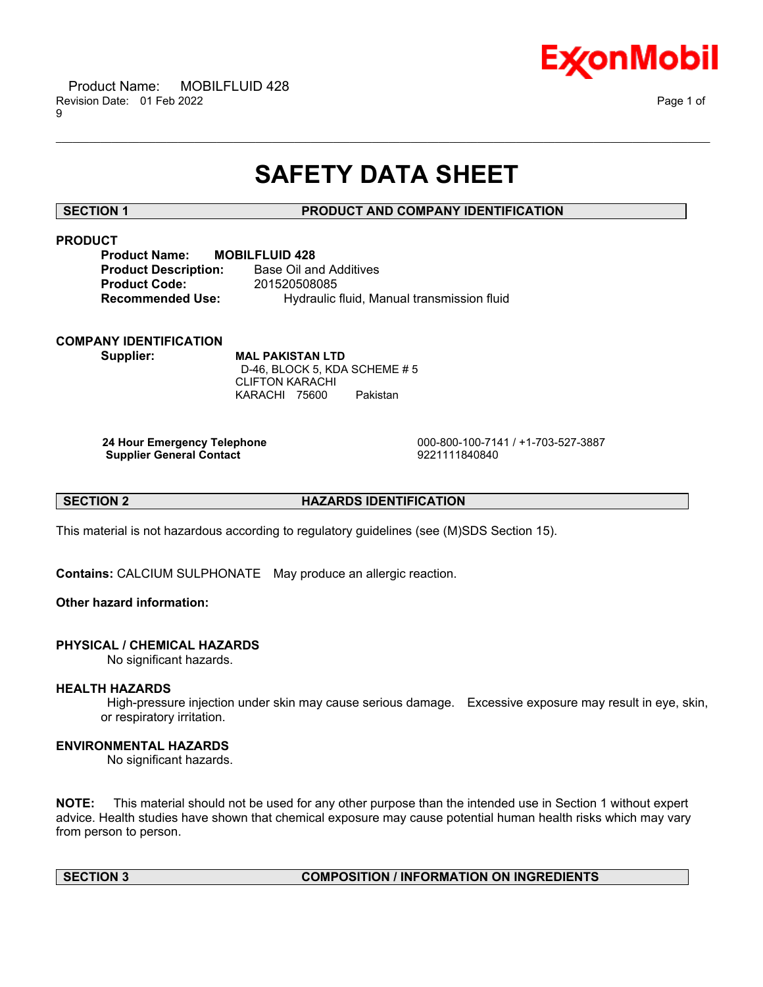

# **SAFETY DATA SHEET**

\_\_\_\_\_\_\_\_\_\_\_\_\_\_\_\_\_\_\_\_\_\_\_\_\_\_\_\_\_\_\_\_\_\_\_\_\_\_\_\_\_\_\_\_\_\_\_\_\_\_\_\_\_\_\_\_\_\_\_\_\_\_\_\_\_\_\_\_\_\_\_\_\_\_\_\_\_\_\_\_\_\_\_\_\_\_\_\_\_\_\_\_\_\_\_\_\_\_\_\_\_\_\_\_\_\_\_\_\_\_\_\_\_\_\_\_\_\_

# **SECTION 1 PRODUCT AND COMPANY IDENTIFICATION**

# **PRODUCT**

| <b>MOBILFLUID 428</b>                      |
|--------------------------------------------|
| Base Oil and Additives                     |
| 201520508085                               |
| Hydraulic fluid, Manual transmission fluid |
|                                            |

# **COMPANY IDENTIFICATION**

**Supplier: MAL PAKISTAN LTD** D-46, BLOCK 5, KDA SCHEME # 5 CLIFTON KARACHI KARACHI 75600 Pakistan

**Supplier General Contact** 

**24 Hour Emergency Telephone** 000-800-100-7141 / +1-703-527-3887

### **SECTION 2 HAZARDS IDENTIFICATION**

This material is not hazardous according to regulatory guidelines (see (M)SDS Section 15).

**Contains:** CALCIUM SULPHONATE May produce an allergic reaction.

# **Other hazard information:**

# **PHYSICAL / CHEMICAL HAZARDS**

No significant hazards.

### **HEALTH HAZARDS**

High-pressure injection under skin may cause serious damage. Excessive exposure may result in eye, skin, or respiratory irritation.

# **ENVIRONMENTAL HAZARDS**

No significant hazards.

**NOTE:** This material should not be used for any other purpose than the intended use in Section 1 without expert advice. Health studies have shown that chemical exposure may cause potential human health risks which may vary from person to person.

# **SECTION 3 COMPOSITION / INFORMATION ON INGREDIENTS**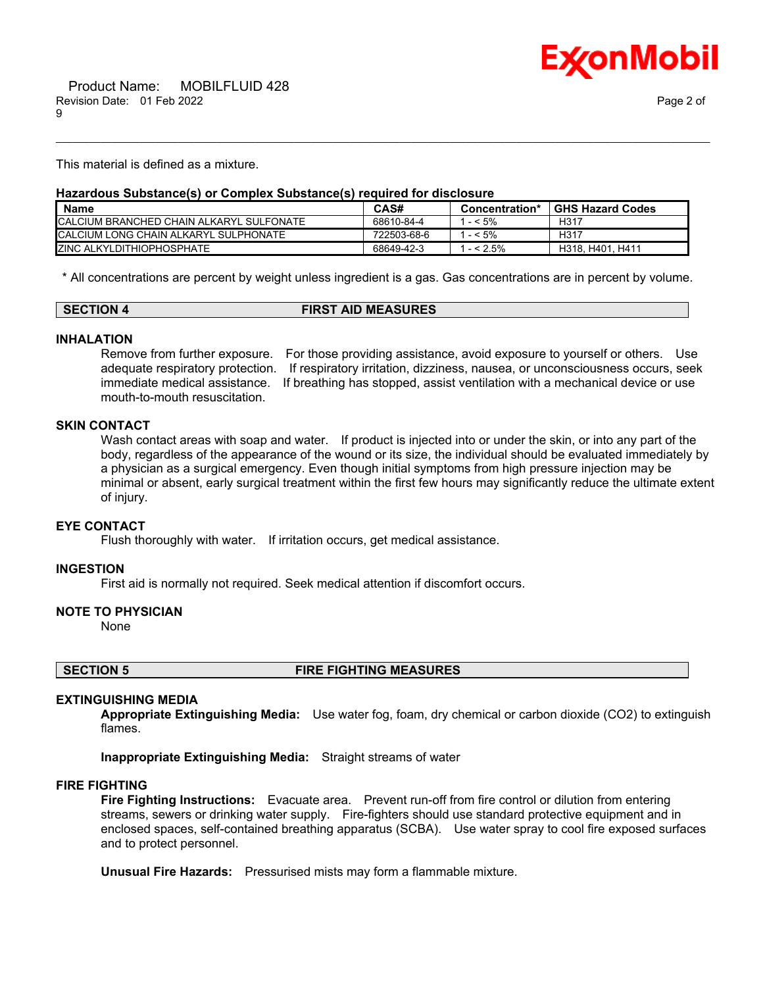

This material is defined as a mixture.

#### **Hazardous Substance(s) or Complex Substance(s) required for disclosure**

| <b>Name</b>                               | CAS#        | Concentration* | <b>GHS Hazard Codes</b> |
|-------------------------------------------|-------------|----------------|-------------------------|
| ICALCIUM BRANCHED CHAIN ALKARYL SULFONATE | 68610-84-4  | $-5\%$         | H317                    |
| ICALCIUM LONG CHAIN ALKARYL SULPHONATE    | 722503-68-6 | $-5\%$         | H317                    |
| <b>ZINC ALKYLDITHIOPHOSPHATE</b>          | 68649-42-3  | $- < 2.5\%$    | H318, H401, H411        |

\_\_\_\_\_\_\_\_\_\_\_\_\_\_\_\_\_\_\_\_\_\_\_\_\_\_\_\_\_\_\_\_\_\_\_\_\_\_\_\_\_\_\_\_\_\_\_\_\_\_\_\_\_\_\_\_\_\_\_\_\_\_\_\_\_\_\_\_\_\_\_\_\_\_\_\_\_\_\_\_\_\_\_\_\_\_\_\_\_\_\_\_\_\_\_\_\_\_\_\_\_\_\_\_\_\_\_\_\_\_\_\_\_\_\_\_\_\_

\* All concentrations are percent by weight unless ingredient is a gas. Gas concentrations are in percent by volume.

| <b>SECTION 4</b> | <b>FIRST AID MEASURES</b> |
|------------------|---------------------------|
|                  |                           |

#### **INHALATION**

Remove from further exposure. For those providing assistance, avoid exposure to yourself or others. Use adequate respiratory protection. If respiratory irritation, dizziness, nausea, or unconsciousness occurs, seek immediate medical assistance. If breathing has stopped, assist ventilation with a mechanical device or use mouth-to-mouth resuscitation.

# **SKIN CONTACT**

Wash contact areas with soap and water. If product is injected into or under the skin, or into any part of the body, regardless of the appearance of the wound or its size, the individual should be evaluated immediately by a physician as a surgical emergency. Even though initial symptoms from high pressure injection may be minimal or absent, early surgical treatment within the first few hours may significantly reduce the ultimate extent of injury.

#### **EYE CONTACT**

Flush thoroughly with water. If irritation occurs, get medical assistance.

#### **INGESTION**

First aid is normally not required. Seek medical attention if discomfort occurs.

#### **NOTE TO PHYSICIAN**

None

**SECTION 5 FIRE FIGHTING MEASURES**

# **EXTINGUISHING MEDIA**

**Appropriate Extinguishing Media:** Use water fog, foam, dry chemical or carbon dioxide (CO2) to extinguish flames.

**Inappropriate Extinguishing Media:** Straight streams of water

#### **FIRE FIGHTING**

**Fire Fighting Instructions:** Evacuate area. Prevent run-off from fire control or dilution from entering streams, sewers or drinking water supply. Fire-fighters should use standard protective equipment and in enclosed spaces, self-contained breathing apparatus (SCBA). Use water spray to cool fire exposed surfaces and to protect personnel.

**Unusual Fire Hazards:** Pressurised mists may form a flammable mixture.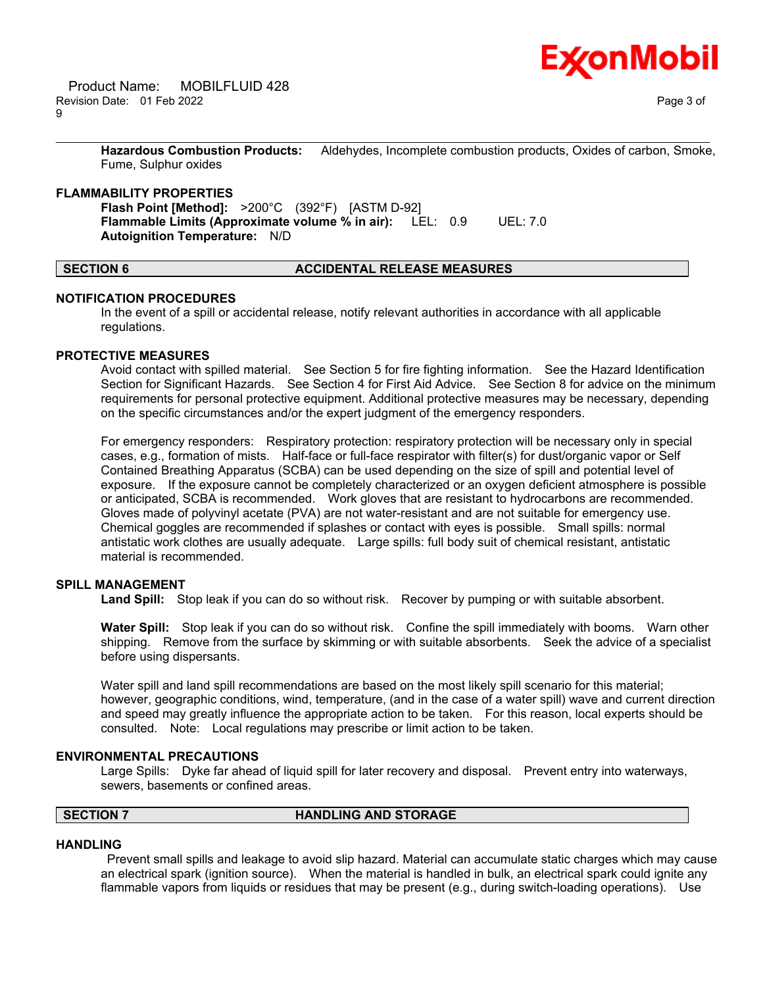**Hazardous Combustion Products:** Aldehydes, Incomplete combustion products, Oxides of carbon, Smoke, Fume, Sulphur oxides

\_\_\_\_\_\_\_\_\_\_\_\_\_\_\_\_\_\_\_\_\_\_\_\_\_\_\_\_\_\_\_\_\_\_\_\_\_\_\_\_\_\_\_\_\_\_\_\_\_\_\_\_\_\_\_\_\_\_\_\_\_\_\_\_\_\_\_\_\_\_\_\_\_\_\_\_\_\_\_\_\_\_\_\_\_\_\_\_\_\_\_\_\_\_\_\_\_\_\_\_\_\_\_\_\_\_\_\_\_\_\_\_\_\_\_\_\_\_

#### **FLAMMABILITY PROPERTIES**

**Flash Point [Method]:** >200°C (392°F) [ASTM D-92] **Flammable Limits (Approximate volume % in air):** LEL: 0.9 UEL: 7.0 **Autoignition Temperature:** N/D

# **SECTION 6 ACCIDENTAL RELEASE MEASURES**

#### **NOTIFICATION PROCEDURES**

In the event of a spill or accidental release, notify relevant authorities in accordance with all applicable regulations.

#### **PROTECTIVE MEASURES**

Avoid contact with spilled material. See Section 5 for fire fighting information. See the Hazard Identification Section for Significant Hazards. See Section 4 for First Aid Advice. See Section 8 for advice on the minimum requirements for personal protective equipment. Additional protective measures may be necessary, depending on the specific circumstances and/or the expert judgment of the emergency responders.

For emergency responders: Respiratory protection: respiratory protection will be necessary only in special cases, e.g., formation of mists. Half-face or full-face respirator with filter(s) for dust/organic vapor or Self Contained Breathing Apparatus (SCBA) can be used depending on the size of spill and potential level of exposure. If the exposure cannot be completely characterized or an oxygen deficient atmosphere is possible or anticipated, SCBA is recommended. Work gloves that are resistant to hydrocarbons are recommended. Gloves made of polyvinyl acetate (PVA) are not water-resistant and are not suitable for emergency use. Chemical goggles are recommended if splashes or contact with eyes is possible. Small spills: normal antistatic work clothes are usually adequate. Large spills: full body suit of chemical resistant, antistatic material is recommended.

### **SPILL MANAGEMENT**

**Land Spill:** Stop leak if you can do so without risk. Recover by pumping or with suitable absorbent.

**Water Spill:** Stop leak if you can do so without risk. Confine the spill immediately with booms. Warn other shipping. Remove from the surface by skimming or with suitable absorbents. Seek the advice of a specialist before using dispersants.

Water spill and land spill recommendations are based on the most likely spill scenario for this material; however, geographic conditions, wind, temperature, (and in the case of a water spill) wave and current direction and speed may greatly influence the appropriate action to be taken. For this reason, local experts should be consulted. Note: Local regulations may prescribe or limit action to be taken.

#### **ENVIRONMENTAL PRECAUTIONS**

Large Spills: Dyke far ahead of liquid spill for later recovery and disposal. Prevent entry into waterways, sewers, basements or confined areas.

# **SECTION 7 HANDLING AND STORAGE**

#### **HANDLING**

Prevent small spills and leakage to avoid slip hazard. Material can accumulate static charges which may cause an electrical spark (ignition source). When the material is handled in bulk, an electrical spark could ignite any flammable vapors from liquids or residues that may be present (e.g., during switch-loading operations). Use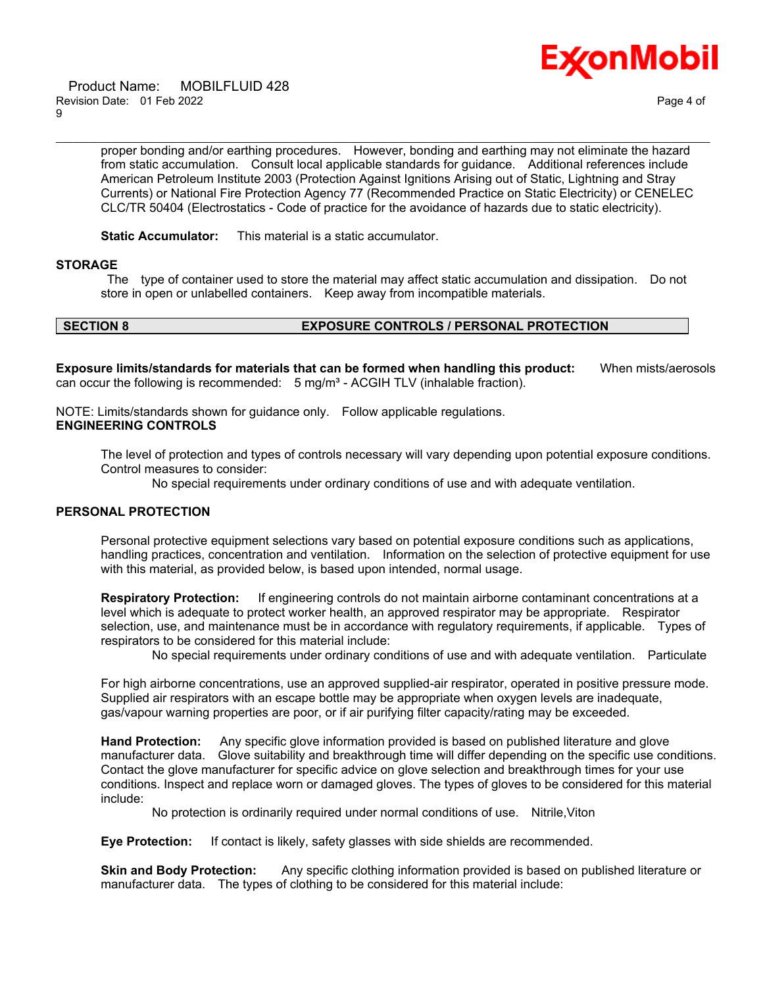

 Product Name: MOBILFLUID 428 Revision Date: 01 Feb 2022 Page 4 of 9

proper bonding and/or earthing procedures. However, bonding and earthing may not eliminate the hazard from static accumulation. Consult local applicable standards for guidance. Additional references include American Petroleum Institute 2003 (Protection Against Ignitions Arising out of Static, Lightning and Stray Currents) or National Fire Protection Agency 77 (Recommended Practice on Static Electricity) or CENELEC CLC/TR 50404 (Electrostatics - Code of practice for the avoidance of hazards due to static electricity).

\_\_\_\_\_\_\_\_\_\_\_\_\_\_\_\_\_\_\_\_\_\_\_\_\_\_\_\_\_\_\_\_\_\_\_\_\_\_\_\_\_\_\_\_\_\_\_\_\_\_\_\_\_\_\_\_\_\_\_\_\_\_\_\_\_\_\_\_\_\_\_\_\_\_\_\_\_\_\_\_\_\_\_\_\_\_\_\_\_\_\_\_\_\_\_\_\_\_\_\_\_\_\_\_\_\_\_\_\_\_\_\_\_\_\_\_\_\_

**Static Accumulator:** This material is a static accumulator.

#### **STORAGE**

The type of container used to store the material may affect static accumulation and dissipation. Do not store in open or unlabelled containers. Keep away from incompatible materials.

# **SECTION 8 EXPOSURE CONTROLS / PERSONAL PROTECTION**

**Exposure limits/standards for materials that can be formed when handling this product:** When mists/aerosols can occur the following is recommended:  $5 \text{ mg/m}^3$  - ACGIH TLV (inhalable fraction).

NOTE: Limits/standards shown for guidance only. Follow applicable regulations. **ENGINEERING CONTROLS**

The level of protection and types of controls necessary will vary depending upon potential exposure conditions. Control measures to consider:

No special requirements under ordinary conditions of use and with adequate ventilation.

### **PERSONAL PROTECTION**

Personal protective equipment selections vary based on potential exposure conditions such as applications, handling practices, concentration and ventilation. Information on the selection of protective equipment for use with this material, as provided below, is based upon intended, normal usage.

**Respiratory Protection:** If engineering controls do not maintain airborne contaminant concentrations at a level which is adequate to protect worker health, an approved respirator may be appropriate. Respirator selection, use, and maintenance must be in accordance with regulatory requirements, if applicable. Types of respirators to be considered for this material include:

No special requirements under ordinary conditions of use and with adequate ventilation. Particulate

For high airborne concentrations, use an approved supplied-air respirator, operated in positive pressure mode. Supplied air respirators with an escape bottle may be appropriate when oxygen levels are inadequate, gas/vapour warning properties are poor, or if air purifying filter capacity/rating may be exceeded.

**Hand Protection:** Any specific glove information provided is based on published literature and glove manufacturer data. Glove suitability and breakthrough time will differ depending on the specific use conditions. Contact the glove manufacturer for specific advice on glove selection and breakthrough times for your use conditions. Inspect and replace worn or damaged gloves. The types of gloves to be considered for this material include:

No protection is ordinarily required under normal conditions of use. Nitrile,Viton

**Eye Protection:** If contact is likely, safety glasses with side shields are recommended.

**Skin and Body Protection:** Any specific clothing information provided is based on published literature or manufacturer data. The types of clothing to be considered for this material include: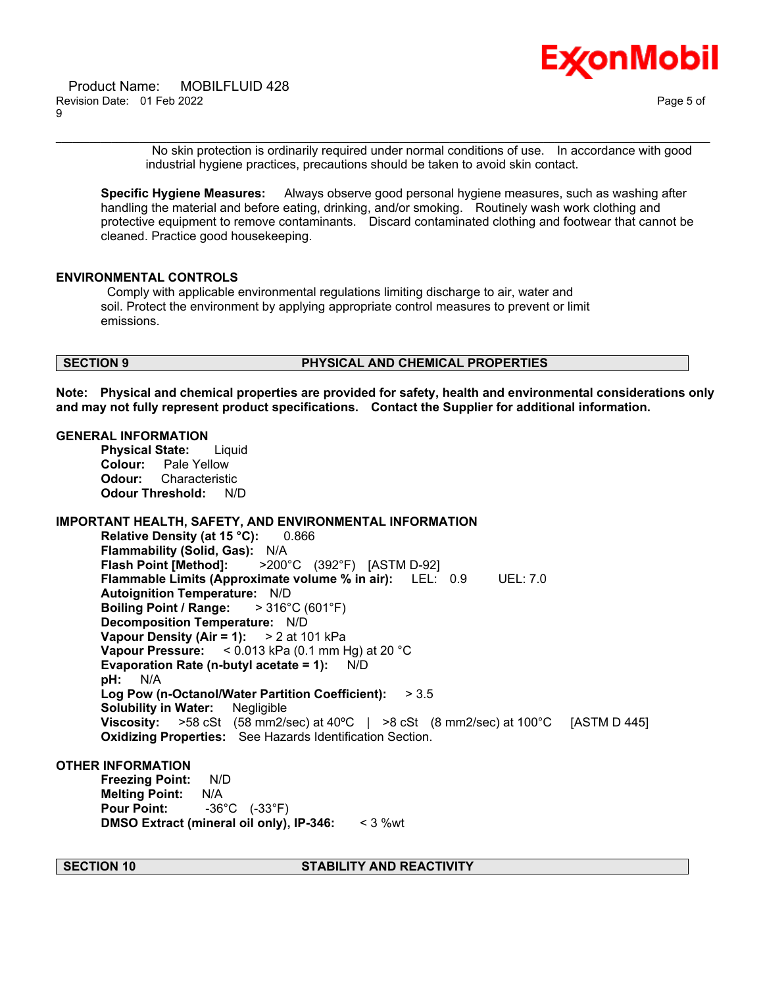

No skin protection is ordinarily required under normal conditions of use. In accordance with good industrial hygiene practices, precautions should be taken to avoid skin contact.

**Specific Hygiene Measures:** Always observe good personal hygiene measures, such as washing after handling the material and before eating, drinking, and/or smoking. Routinely wash work clothing and protective equipment to remove contaminants. Discard contaminated clothing and footwear that cannot be cleaned. Practice good housekeeping.

\_\_\_\_\_\_\_\_\_\_\_\_\_\_\_\_\_\_\_\_\_\_\_\_\_\_\_\_\_\_\_\_\_\_\_\_\_\_\_\_\_\_\_\_\_\_\_\_\_\_\_\_\_\_\_\_\_\_\_\_\_\_\_\_\_\_\_\_\_\_\_\_\_\_\_\_\_\_\_\_\_\_\_\_\_\_\_\_\_\_\_\_\_\_\_\_\_\_\_\_\_\_\_\_\_\_\_\_\_\_\_\_\_\_\_\_\_\_

### **ENVIRONMENTAL CONTROLS**

Comply with applicable environmental regulations limiting discharge to air, water and soil. Protect the environment by applying appropriate control measures to prevent or limit emissions.

# **SECTION 9 PHYSICAL AND CHEMICAL PROPERTIES**

**Note: Physical and chemical properties are provided for safety, health and environmental considerations only and may not fully represent product specifications. Contact the Supplier for additional information.**

#### **GENERAL INFORMATION**

**Physical State:** Liquid **Colour:** Pale Yellow **Odour:** Characteristic **Odour Threshold:** N/D

# **IMPORTANT HEALTH, SAFETY, AND ENVIRONMENTAL INFORMATION**

**Relative Density (at 15 °C):** 0.866 **Flammability (Solid, Gas):** N/A **Flash Point [Method]:** >200°C (392°F) [ASTM D-92] **Flammable Limits (Approximate volume % in air):** LEL: 0.9 UEL: 7.0 **Autoignition Temperature:** N/D **Boiling Point / Range:** > 316°C (601°F) **Decomposition Temperature:** N/D **Vapour Density (Air = 1):** > 2 at 101 kPa **Vapour Pressure:** < 0.013 kPa (0.1 mm Hg) at 20 °C **Evaporation Rate (n-butyl acetate = 1):** N/D **pH:** N/A **Log Pow (n-Octanol/Water Partition Coefficient):** > 3.5 **Solubility in Water:** Negligible **Viscosity:** >58 cSt (58 mm2/sec) at 40ºC | >8 cSt (8 mm2/sec) at 100°C [ASTM D 445] **Oxidizing Properties:** See Hazards Identification Section.

#### **OTHER INFORMATION**

**Freezing Point:** N/D **Melting Point:** N/A **Pour Point:** -36°C (-33°F) **DMSO Extract (mineral oil only), IP-346:** < 3 %wt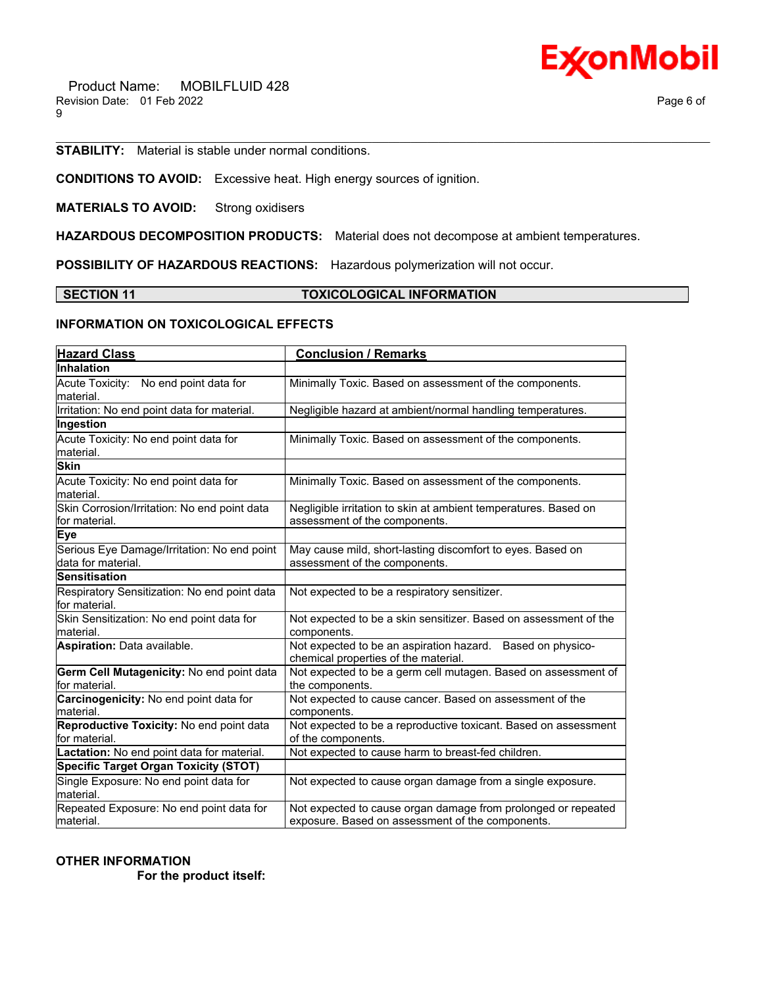

**STABILITY:** Material is stable under normal conditions.

**CONDITIONS TO AVOID:** Excessive heat. High energy sources of ignition.

**MATERIALS TO AVOID:** Strong oxidisers

**HAZARDOUS DECOMPOSITION PRODUCTS:** Material does not decompose at ambient temperatures.

**POSSIBILITY OF HAZARDOUS REACTIONS:** Hazardous polymerization will not occur.

# **SECTION 11 TOXICOLOGICAL INFORMATION**

\_\_\_\_\_\_\_\_\_\_\_\_\_\_\_\_\_\_\_\_\_\_\_\_\_\_\_\_\_\_\_\_\_\_\_\_\_\_\_\_\_\_\_\_\_\_\_\_\_\_\_\_\_\_\_\_\_\_\_\_\_\_\_\_\_\_\_\_\_\_\_\_\_\_\_\_\_\_\_\_\_\_\_\_\_\_\_\_\_\_\_\_\_\_\_\_\_\_\_\_\_\_\_\_\_\_\_\_\_\_\_\_\_\_\_\_\_\_

# **INFORMATION ON TOXICOLOGICAL EFFECTS**

| <b>Hazard Class</b>                                               | <b>Conclusion / Remarks</b>                                                                                       |
|-------------------------------------------------------------------|-------------------------------------------------------------------------------------------------------------------|
| Inhalation                                                        |                                                                                                                   |
| Acute Toxicity: No end point data for<br>lmaterial.               | Minimally Toxic. Based on assessment of the components.                                                           |
| Irritation: No end point data for material.                       | Negligible hazard at ambient/normal handling temperatures.                                                        |
| Ingestion                                                         |                                                                                                                   |
| Acute Toxicity: No end point data for<br>material.                | Minimally Toxic. Based on assessment of the components.                                                           |
| <b>Skin</b>                                                       |                                                                                                                   |
| Acute Toxicity: No end point data for<br>Imaterial.               | Minimally Toxic. Based on assessment of the components.                                                           |
| Skin Corrosion/Irritation: No end point data<br>for material.     | Negligible irritation to skin at ambient temperatures. Based on<br>assessment of the components.                  |
| <b>Eye</b>                                                        |                                                                                                                   |
| Serious Eye Damage/Irritation: No end point<br>data for material. | May cause mild, short-lasting discomfort to eyes. Based on<br>assessment of the components.                       |
| <b>Sensitisation</b>                                              |                                                                                                                   |
| Respiratory Sensitization: No end point data<br>for material.     | Not expected to be a respiratory sensitizer.                                                                      |
| Skin Sensitization: No end point data for<br>lmaterial.           | Not expected to be a skin sensitizer. Based on assessment of the<br>components.                                   |
| <b>Aspiration: Data available.</b>                                | Not expected to be an aspiration hazard. Based on physico-<br>chemical properties of the material.                |
| Germ Cell Mutagenicity: No end point data<br>for material.        | Not expected to be a germ cell mutagen. Based on assessment of<br>the components.                                 |
| Carcinogenicity: No end point data for<br>material.               | Not expected to cause cancer. Based on assessment of the<br>components.                                           |
| Reproductive Toxicity: No end point data<br>lfor material.        | Not expected to be a reproductive toxicant. Based on assessment<br>of the components.                             |
| Lactation: No end point data for material.                        | Not expected to cause harm to breast-fed children.                                                                |
| <b>Specific Target Organ Toxicity (STOT)</b>                      |                                                                                                                   |
| Single Exposure: No end point data for<br>lmaterial.              | Not expected to cause organ damage from a single exposure.                                                        |
| Repeated Exposure: No end point data for<br>material.             | Not expected to cause organ damage from prolonged or repeated<br>exposure. Based on assessment of the components. |

**OTHER INFORMATION**

 **For the product itself:**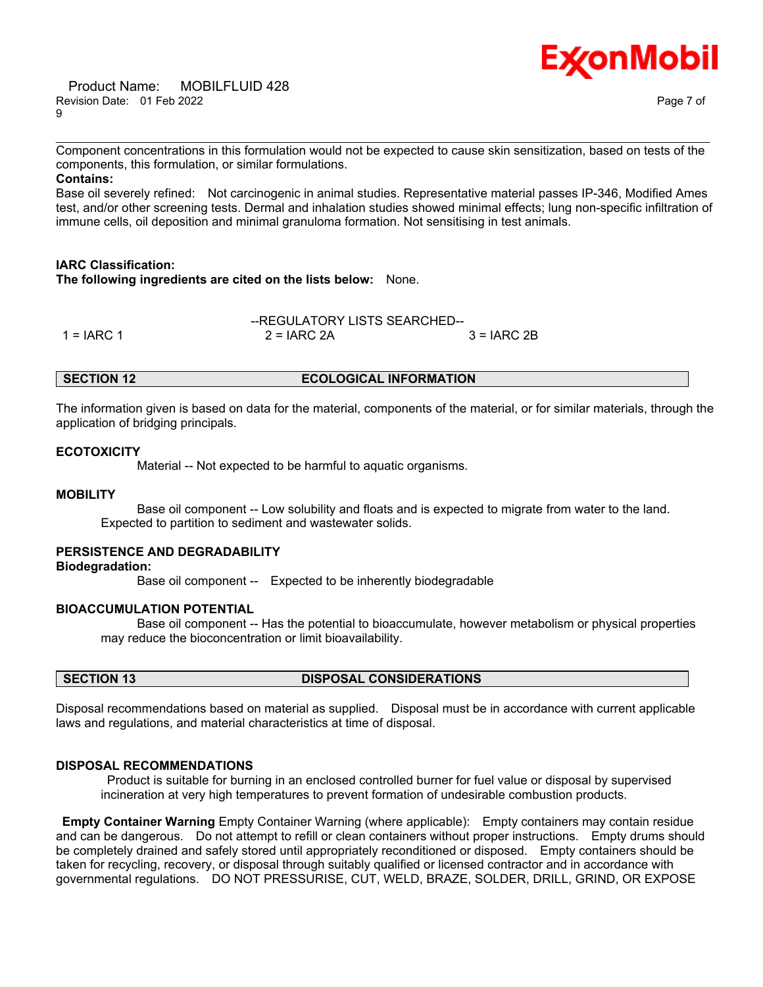Product Name: MOBILFLUID 428 Revision Date: 01 Feb 2022 Page 7 of 9



\_\_\_\_\_\_\_\_\_\_\_\_\_\_\_\_\_\_\_\_\_\_\_\_\_\_\_\_\_\_\_\_\_\_\_\_\_\_\_\_\_\_\_\_\_\_\_\_\_\_\_\_\_\_\_\_\_\_\_\_\_\_\_\_\_\_\_\_\_\_\_\_\_\_\_\_\_\_\_\_\_\_\_\_\_\_\_\_\_\_\_\_\_\_\_\_\_\_\_\_\_\_\_\_\_\_\_\_\_\_\_\_\_\_\_\_\_\_ Component concentrations in this formulation would not be expected to cause skin sensitization, based on tests of the components, this formulation, or similar formulations.

**Contains:**

Base oil severely refined: Not carcinogenic in animal studies. Representative material passes IP-346, Modified Ames test, and/or other screening tests. Dermal and inhalation studies showed minimal effects; lung non-specific infiltration of immune cells, oil deposition and minimal granuloma formation. Not sensitising in test animals.

### **IARC Classification:**

**The following ingredients are cited on the lists below:** None.

|              | --REGULATORY LISTS SEARCHED-- |               |  |
|--------------|-------------------------------|---------------|--|
| $1 = IARC 1$ | $2 = IARC$ 2A                 | $3 = IARC 2B$ |  |

#### **SECTION 12 ECOLOGICAL INFORMATION**

The information given is based on data for the material, components of the material, or for similar materials, through the application of bridging principals.

#### **ECOTOXICITY**

Material -- Not expected to be harmful to aquatic organisms.

#### **MOBILITY**

 Base oil component -- Low solubility and floats and is expected to migrate from water to the land. Expected to partition to sediment and wastewater solids.

# **PERSISTENCE AND DEGRADABILITY**

**Biodegradation:**

Base oil component -- Expected to be inherently biodegradable

## **BIOACCUMULATION POTENTIAL**

 Base oil component -- Has the potential to bioaccumulate, however metabolism or physical properties may reduce the bioconcentration or limit bioavailability.

# **SECTION 13 DISPOSAL CONSIDERATIONS**

Disposal recommendations based on material as supplied. Disposal must be in accordance with current applicable laws and regulations, and material characteristics at time of disposal.

### **DISPOSAL RECOMMENDATIONS**

Product is suitable for burning in an enclosed controlled burner for fuel value or disposal by supervised incineration at very high temperatures to prevent formation of undesirable combustion products.

**Empty Container Warning** Empty Container Warning (where applicable): Empty containers may contain residue and can be dangerous. Do not attempt to refill or clean containers without proper instructions. Empty drums should be completely drained and safely stored until appropriately reconditioned or disposed. Empty containers should be taken for recycling, recovery, or disposal through suitably qualified or licensed contractor and in accordance with governmental regulations. DO NOT PRESSURISE, CUT, WELD, BRAZE, SOLDER, DRILL, GRIND, OR EXPOSE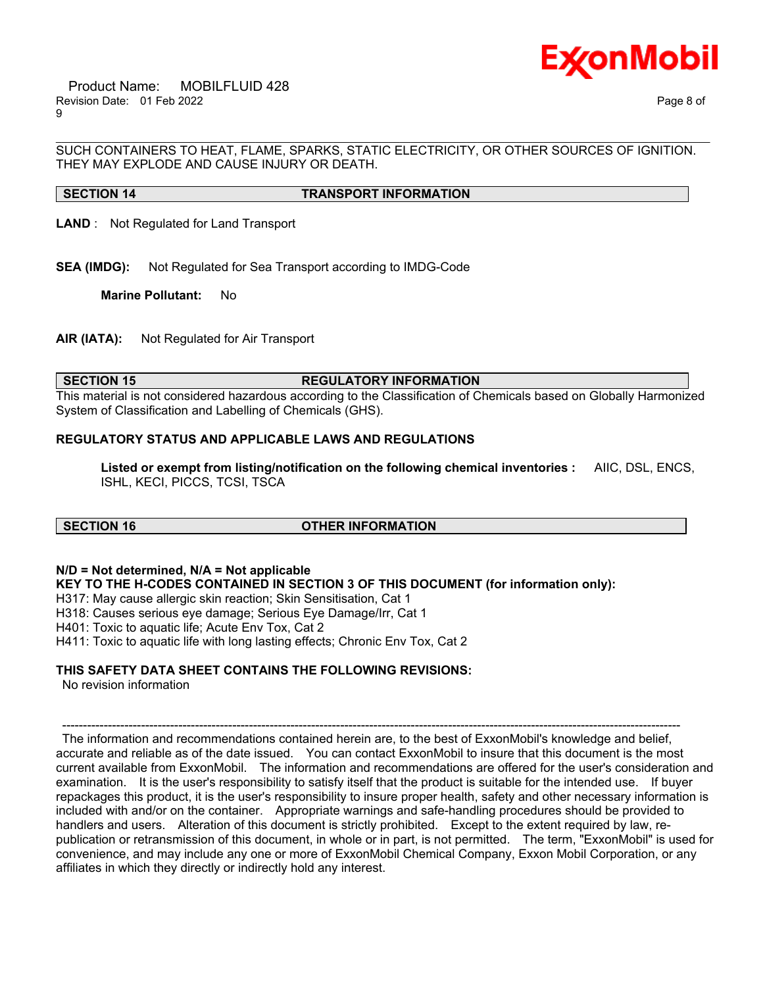

\_\_\_\_\_\_\_\_\_\_\_\_\_\_\_\_\_\_\_\_\_\_\_\_\_\_\_\_\_\_\_\_\_\_\_\_\_\_\_\_\_\_\_\_\_\_\_\_\_\_\_\_\_\_\_\_\_\_\_\_\_\_\_\_\_\_\_\_\_\_\_\_\_\_\_\_\_\_\_\_\_\_\_\_\_\_\_\_\_\_\_\_\_\_\_\_\_\_\_\_\_\_\_\_\_\_\_\_\_\_\_\_\_\_\_\_\_\_ SUCH CONTAINERS TO HEAT, FLAME, SPARKS, STATIC ELECTRICITY, OR OTHER SOURCES OF IGNITION. THEY MAY EXPLODE AND CAUSE INJURY OR DEATH.

# **SECTION 14 TRANSPORT INFORMATION**

**LAND** : Not Regulated for Land Transport

**SEA (IMDG):** Not Regulated for Sea Transport according to IMDG-Code

**Marine Pollutant:** No

**AIR (IATA):** Not Regulated for Air Transport

#### **SECTION 15 REGULATORY INFORMATION**

This material is not considered hazardous according to the Classification of Chemicals based on Globally Harmonized System of Classification and Labelling of Chemicals (GHS).

# **REGULATORY STATUS AND APPLICABLE LAWS AND REGULATIONS**

**Listed or exempt from listing/notification on the following chemical inventories :** AIIC, DSL, ENCS, ISHL, KECI, PICCS, TCSI, TSCA

#### **SECTION 16 OTHER INFORMATION**

**N/D = Not determined, N/A = Not applicable**

**KEY TO THE H-CODES CONTAINED IN SECTION 3 OF THIS DOCUMENT (for information only):**

H317: May cause allergic skin reaction; Skin Sensitisation, Cat 1

H318: Causes serious eye damage; Serious Eye Damage/Irr, Cat 1

H401: Toxic to aquatic life; Acute Env Tox, Cat 2

H411: Toxic to aquatic life with long lasting effects; Chronic Env Tox, Cat 2

### **THIS SAFETY DATA SHEET CONTAINS THE FOLLOWING REVISIONS:**

No revision information

The information and recommendations contained herein are, to the best of ExxonMobil's knowledge and belief, accurate and reliable as of the date issued. You can contact ExxonMobil to insure that this document is the most current available from ExxonMobil. The information and recommendations are offered for the user's consideration and examination. It is the user's responsibility to satisfy itself that the product is suitable for the intended use. If buyer repackages this product, it is the user's responsibility to insure proper health, safety and other necessary information is included with and/or on the container. Appropriate warnings and safe-handling procedures should be provided to handlers and users. Alteration of this document is strictly prohibited. Except to the extent required by law, republication or retransmission of this document, in whole or in part, is not permitted. The term, "ExxonMobil" is used for convenience, and may include any one or more of ExxonMobil Chemical Company, Exxon Mobil Corporation, or any affiliates in which they directly or indirectly hold any interest.

-----------------------------------------------------------------------------------------------------------------------------------------------------